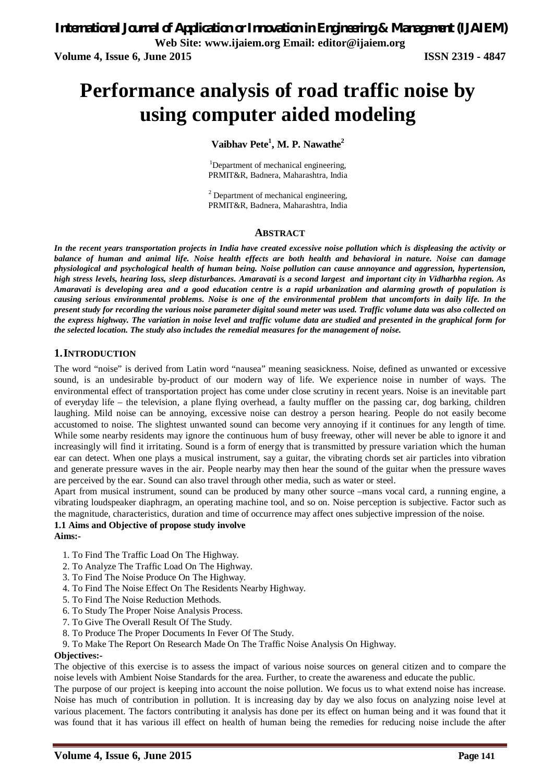# **Performance analysis of road traffic noise by using computer aided modeling**

**Vaibhav Pete<sup>1</sup> , M. P. Nawathe<sup>2</sup>**

<sup>1</sup>Department of mechanical engineering, PRMIT&R, Badnera, Maharashtra, India

<sup>2</sup> Department of mechanical engineering, PRMIT&R, Badnera, Maharashtra, India

#### **ABSTRACT**

*In the recent years transportation projects in India have created excessive noise pollution which is displeasing the activity or balance of human and animal life. Noise health effects are both health and behavioral in nature. Noise can damage physiological and psychological health of human being. Noise pollution can cause annoyance and aggression, hypertension, high stress levels, hearing loss, sleep disturbances. Amaravati is a second largest and important city in Vidharbha region. As Amaravati is developing area and a good education centre is a rapid urbanization and alarming growth of population is causing serious environmental problems. Noise is one of the environmental problem that uncomforts in daily life. In the present study for recording the various noise parameter digital sound meter was used. Traffic volume data was also collected on the express highway. The variation in noise level and traffic volume data are studied and presented in the graphical form for the selected location. The study also includes the remedial measures for the management of noise.*

### **1.INTRODUCTION**

The word "noise" is derived from Latin word "nausea" meaning seasickness. Noise, defined as unwanted or excessive sound, is an undesirable by-product of our modern way of life. We experience noise in number of ways. The environmental effect of transportation project has come under close scrutiny in recent years. Noise is an inevitable part of everyday life – the television, a plane flying overhead, a faulty muffler on the passing car, dog barking, children laughing. Mild noise can be annoying, excessive noise can destroy a person hearing. People do not easily become accustomed to noise. The slightest unwanted sound can become very annoying if it continues for any length of time. While some nearby residents may ignore the continuous hum of busy freeway, other will never be able to ignore it and increasingly will find it irritating. Sound is a form of energy that is transmitted by pressure variation which the human ear can detect. When one plays a musical instrument, say a guitar, the vibrating chords set air particles into vibration and generate pressure waves in the air. People nearby may then hear the sound of the guitar when the pressure waves are perceived by the ear. Sound can also travel through other media, such as water or steel.

Apart from musical instrument, sound can be produced by many other source –mans vocal card, a running engine, a vibrating loudspeaker diaphragm, an operating machine tool, and so on. Noise perception is subjective. Factor such as the magnitude, characteristics, duration and time of occurrence may affect ones subjective impression of the noise.

#### **1.1 Aims and Objective of propose study involve**

**Aims:-**

- 1. To Find The Traffic Load On The Highway.
- 2. To Analyze The Traffic Load On The Highway.
- 3. To Find The Noise Produce On The Highway.
- 4. To Find The Noise Effect On The Residents Nearby Highway.
- 5. To Find The Noise Reduction Methods.
- 6. To Study The Proper Noise Analysis Process.
- 7. To Give The Overall Result Of The Study.
- 8. To Produce The Proper Documents In Fever Of The Study.
- 9. To Make The Report On Research Made On The Traffic Noise Analysis On Highway.

#### **Objectives:-**

The objective of this exercise is to assess the impact of various noise sources on general citizen and to compare the noise levels with Ambient Noise Standards for the area. Further, to create the awareness and educate the public.

The purpose of our project is keeping into account the noise pollution. We focus us to what extend noise has increase. Noise has much of contribution in pollution. It is increasing day by day we also focus on analyzing noise level at various placement. The factors contributing it analysis has done per its effect on human being and it was found that it was found that it has various ill effect on health of human being the remedies for reducing noise include the after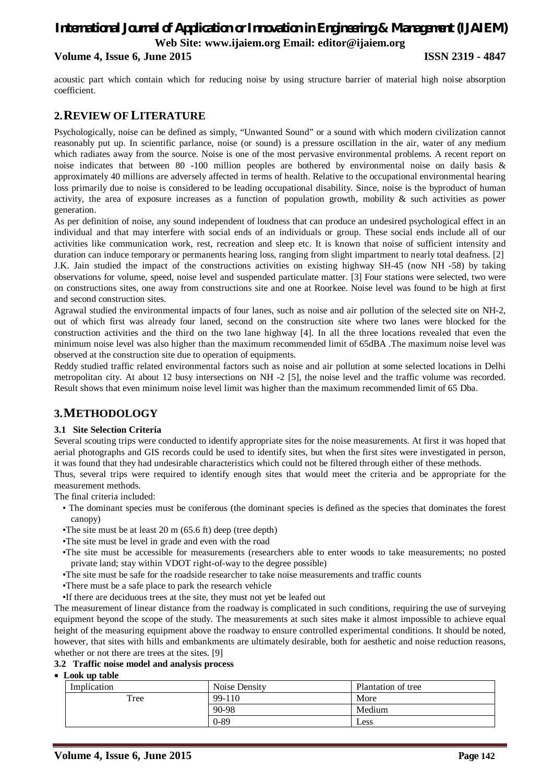### **Volume 4, Issue 6, June 2015 ISSN 2319 - 4847**

acoustic part which contain which for reducing noise by using structure barrier of material high noise absorption coefficient.

### **2.REVIEW OFLITERATURE**

Psychologically, noise can be defined as simply, "Unwanted Sound" or a sound with which modern civilization cannot reasonably put up. In scientific parlance, noise (or sound) is a pressure oscillation in the air, water of any medium which radiates away from the source. Noise is one of the most pervasive environmental problems. A recent report on noise indicates that between 80 -100 million peoples are bothered by environmental noise on daily basis & approximately 40 millions are adversely affected in terms of health. Relative to the occupational environmental hearing loss primarily due to noise is considered to be leading occupational disability. Since, noise is the byproduct of human activity, the area of exposure increases as a function of population growth, mobility  $\&$  such activities as power generation.

As per definition of noise, any sound independent of loudness that can produce an undesired psychological effect in an individual and that may interfere with social ends of an individuals or group. These social ends include all of our activities like communication work, rest, recreation and sleep etc. It is known that noise of sufficient intensity and duration can induce temporary or permanents hearing loss, ranging from slight impartment to nearly total deafness. [2] J.K. Jain studied the impact of the constructions activities on existing highway SH-45 (now NH -58) by taking observations for volume, speed, noise level and suspended particulate matter. [3] Four stations were selected, two were on constructions sites, one away from constructions site and one at Roorkee. Noise level was found to be high at first and second construction sites.

Agrawal studied the environmental impacts of four lanes, such as noise and air pollution of the selected site on NH-2, out of which first was already four laned, second on the construction site where two lanes were blocked for the construction activities and the third on the two lane highway [4]. In all the three locations revealed that even the minimum noise level was also higher than the maximum recommended limit of 65dBA .The maximum noise level was observed at the construction site due to operation of equipments.

Reddy studied traffic related environmental factors such as noise and air pollution at some selected locations in Delhi metropolitan city. At about 12 busy intersections on NH -2 [5], the noise level and the traffic volume was recorded. Result shows that even minimum noise level limit was higher than the maximum recommended limit of 65 Dba.

### **3.METHODOLOGY**

### **3.1 Site Selection Criteria**

Several scouting trips were conducted to identify appropriate sites for the noise measurements. At first it was hoped that aerial photographs and GIS records could be used to identify sites, but when the first sites were investigated in person, it was found that they had undesirable characteristics which could not be filtered through either of these methods.

Thus, several trips were required to identify enough sites that would meet the criteria and be appropriate for the measurement methods.

The final criteria included:

- The dominant species must be coniferous (the dominant species is defined as the species that dominates the forest canopy)
- •The site must be at least 20 m (65.6 ft) deep (tree depth)
- •The site must be level in grade and even with the road
- •The site must be accessible for measurements (researchers able to enter woods to take measurements; no posted private land; stay within VDOT right-of-way to the degree possible)
- •The site must be safe for the roadside researcher to take noise measurements and traffic counts
- •There must be a safe place to park the research vehicle
- •If there are deciduous trees at the site, they must not yet be leafed out

The measurement of linear distance from the roadway is complicated in such conditions, requiring the use of surveying equipment beyond the scope of the study. The measurements at such sites make it almost impossible to achieve equal height of the measuring equipment above the roadway to ensure controlled experimental conditions. It should be noted, however, that sites with hills and embankments are ultimately desirable, both for aesthetic and noise reduction reasons, whether or not there are trees at the sites. [9]

### **3.2 Traffic noise model and analysis process**

**Look up table**

| Implication | Noise Density<br>Plantation of tree |        |
|-------------|-------------------------------------|--------|
| Tree        | 99-110                              | More   |
|             | 90-98                               | Medium |
|             | $0 - 89$                            | Less   |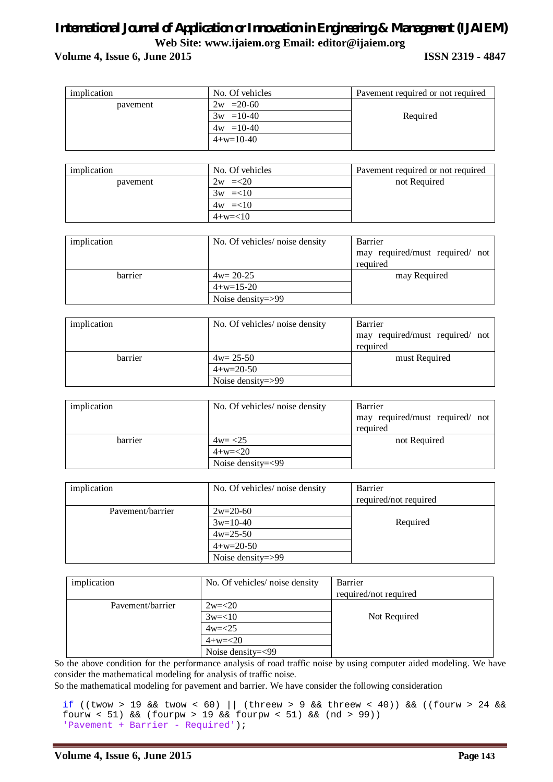### **Volume 4, Issue 6, June 2015 ISSN 2319 - 4847**

| implication | No. Of vehicles   | Pavement required or not required |
|-------------|-------------------|-----------------------------------|
| payement    | $= 20 - 60$<br>2w |                                   |
|             | $3w = 10-40$      | Required                          |
|             | $4w = 10-40$      |                                   |
|             | $4+w=10-40$       |                                   |
|             |                   |                                   |

| implication | No. Of vehicles | Pavement required or not required |
|-------------|-----------------|-----------------------------------|
| payement    | $2w = 20$       | not Required                      |
|             | $3w = < 10$     |                                   |
|             | $4w = < 10$     |                                   |
|             | $4+w=<10$       |                                   |

| implication | No. Of vehicles/ noise density | Barrier                         |
|-------------|--------------------------------|---------------------------------|
|             |                                | may required/must required/ not |
|             |                                | required                        |
| barrier     | $4w=20-25$                     | may Required                    |
|             | $4+w=15-20$                    |                                 |
|             | Noise density= $>99$           |                                 |

| implication | No. Of vehicles/ noise density | Barrier                         |  |  |
|-------------|--------------------------------|---------------------------------|--|--|
|             |                                | may required/must required/ not |  |  |
|             |                                | required                        |  |  |
| barrier     | $4w=25-50$                     | must Required                   |  |  |
|             | $4+x=20-50$                    |                                 |  |  |
|             | Noise density= $>99$           |                                 |  |  |

| implication | No. Of vehicles/ noise density | Barrier<br>may required/must required/ not<br>required |  |  |
|-------------|--------------------------------|--------------------------------------------------------|--|--|
|             |                                |                                                        |  |  |
| barrier     | $4w = 25$                      | not Required                                           |  |  |
|             | $4+w=<20$                      |                                                        |  |  |
|             | Noise density= $<$ 99          |                                                        |  |  |

| implication      | No. Of vehicles/ noise density | Barrier               |
|------------------|--------------------------------|-----------------------|
|                  |                                | required/not required |
| Pavement/barrier | $2w=20-60$                     |                       |
|                  | $3w=10-40$                     | Required              |
|                  | $4w=25-50$                     |                       |
|                  | $4+w=20-50$                    |                       |
|                  | Noise density= $>99$           |                       |

| implication      | No. Of vehicles/ noise density | Barrier<br>required/not required |
|------------------|--------------------------------|----------------------------------|
| Pavement/barrier | $2w=<20$                       |                                  |
|                  | $3w=<10$                       | Not Required                     |
|                  | $4w = < 25$                    |                                  |
|                  | $4+w=<20$                      |                                  |
|                  | Noise density=<99              |                                  |

So the above condition for the performance analysis of road traffic noise by using computer aided modeling. We have consider the mathematical modeling for analysis of traffic noise.

So the mathematical modeling for pavement and barrier. We have consider the following consideration

if ((twow > 19 && twow < 60) || (threew > 9 && threew < 40)) && ((fourw > 24 && fourw < 51) && (fourpw > 19 && fourpw < 51) && (nd > 99)) 'Pavement + Barrier - Required');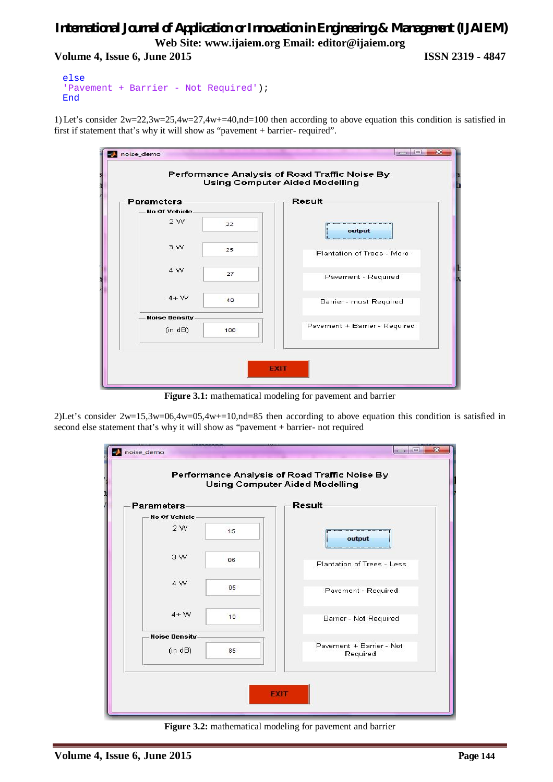### *International Journal of Application or Innovation in Engineering & Management (IJAIEM)* **Web Site: www.ijaiem.org Email: editor@ijaiem.org Volume 4, Issue 6, June 2015 ISSN 2319 - 4847**

```
else
'Pavement + Barrier - Not Required');
End
```
1) Let's consider  $2w=22.3w=25.4w=27.4w+=40.$  nd=100 then according to above equation this condition is satisfied in first if statement that's why it will show as "pavement + barrier- required".

| Parameters                 |     | <b>Result-</b>                |
|----------------------------|-----|-------------------------------|
| <b>No Of Vehicle</b><br>2W | 22  |                               |
| 3W                         | 25  | output                        |
| 4 W                        |     | Plantation of Trees - More    |
|                            | 27  | Pavement - Required           |
| $4 + W$                    | 40  | Barrier - must Required       |
| <b>Noise Density</b>       |     |                               |
| (in dB)                    | 100 | Pavement + Barrier - Required |

Figure 3.1: mathematical modeling for pavement and barrier

2)Let's consider  $2w=15,3w=06,4w=05,4w+=10,nd=85$  then according to above equation this condition is satisfied in second else statement that's why it will show as "pavement + barrier- not required



Figure 3.2: mathematical modeling for pavement and barrier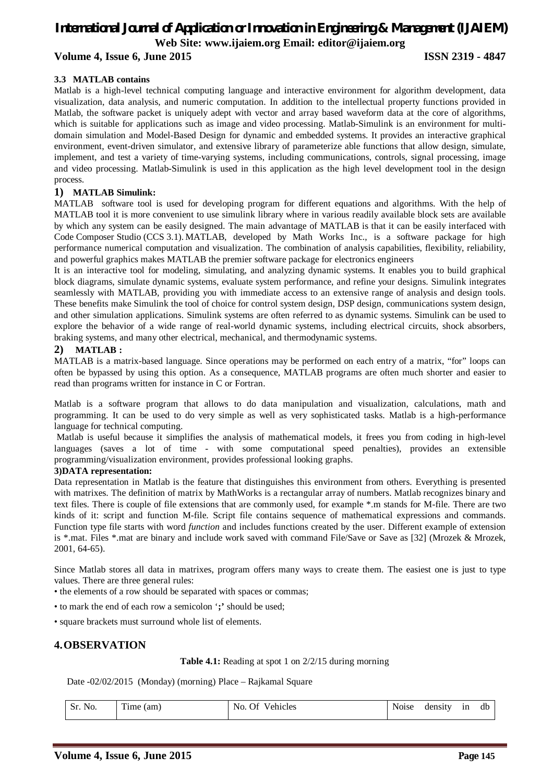### **Volume 4, Issue 6, June 2015 ISSN 2319 - 4847**

### **3.3 MATLAB contains**

Matlab is a high-level technical computing language and interactive environment for algorithm development, data visualization, data analysis, and numeric computation. In addition to the intellectual property functions provided in Matlab, the software packet is uniquely adept with vector and array based waveform data at the core of algorithms, which is suitable for applications such as image and video processing. Matlab-Simulink is an environment for multidomain simulation and Model-Based Design for dynamic and embedded systems. It provides an interactive graphical environment, event-driven simulator, and extensive library of parameterize able functions that allow design, simulate, implement, and test a variety of time-varying systems, including communications, controls, signal processing, image and video processing. Matlab-Simulink is used in this application as the high level development tool in the design process.

### **1) MATLAB Simulink:**

MATLAB software tool is used for developing program for different equations and algorithms. With the help of MATLAB tool it is more convenient to use simulink library where in various readily available block sets are available by which any system can be easily designed. The main advantage of MATLAB is that it can be easily interfaced with Code Composer Studio (CCS 3.1). MATLAB, developed by Math Works Inc., is a software package for high performance numerical computation and visualization. The combination of analysis capabilities, flexibility, reliability, and powerful graphics makes MATLAB the premier software package for electronics engineers

It is an interactive tool for modeling, simulating, and analyzing dynamic systems. It enables you to build graphical block diagrams, simulate dynamic systems, evaluate system performance, and refine your designs. Simulink integrates seamlessly with MATLAB, providing you with immediate access to an extensive range of analysis and design tools. These benefits make Simulink the tool of choice for control system design, DSP design, communications system design, and other simulation applications. Simulink systems are often referred to as dynamic systems. Simulink can be used to explore the behavior of a wide range of real-world dynamic systems, including electrical circuits, shock absorbers, braking systems, and many other electrical, mechanical, and thermodynamic systems.

### **2) MATLAB :**

MATLAB is a matrix-based language. Since operations may be performed on each entry of a matrix, "for" loops can often be bypassed by using this option. As a consequence, MATLAB programs are often much shorter and easier to read than programs written for instance in C or Fortran.

Matlab is a software program that allows to do data manipulation and visualization, calculations, math and programming. It can be used to do very simple as well as very sophisticated tasks. Matlab is a high-performance language for technical computing.

Matlab is useful because it simplifies the analysis of mathematical models, it frees you from coding in high-level languages (saves a lot of time - with some computational speed penalties), provides an extensible programming/visualization environment, provides professional looking graphs.

#### **3)DATA representation:**

Data representation in Matlab is the feature that distinguishes this environment from others. Everything is presented with matrixes. The definition of matrix by MathWorks is a rectangular array of numbers. Matlab recognizes binary and text files. There is couple of file extensions that are commonly used, for example \*.m stands for M-file. There are two kinds of it: script and function M-file. Script file contains sequence of mathematical expressions and commands. Function type file starts with word *function* and includes functions created by the user. Different example of extension is \*.mat. Files \*.mat are binary and include work saved with command File/Save or Save as [32] (Mrozek & Mrozek, 2001, 64-65).

Since Matlab stores all data in matrixes, program offers many ways to create them. The easiest one is just to type values. There are three general rules:

• the elements of a row should be separated with spaces or commas;

• to mark the end of each row a semicolon '**;'** should be used;

• square brackets must surround whole list of elements.

### **4.OBSERVATION**

**Table 4.1:** Reading at spot 1 on 2/2/15 during morning

Date -02/02/2015 (Monday) (morning) Place – Rajkamal Square

| Sr.<br>Sr. No. | $\sim$<br>(am)<br>1 une - | Vehicles<br>No.<br>Ήſ | . | density | 1n | db |
|----------------|---------------------------|-----------------------|---|---------|----|----|
|                |                           |                       |   |         |    |    |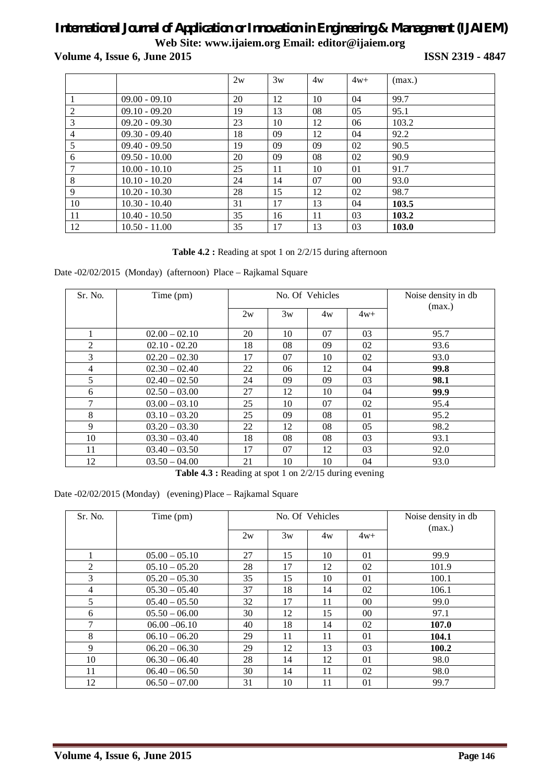**Volume 4, Issue 6, June 2015 ISSN 2319 - 4847**

|    |                 | 2w | 3w | 4w | $4w+$          | (max.) |
|----|-----------------|----|----|----|----------------|--------|
|    | $09.00 - 09.10$ | 20 | 12 | 10 | 04             | 99.7   |
| 2  | $09.10 - 09.20$ | 19 | 13 | 08 | 05             | 95.1   |
| 3  | $09.20 - 09.30$ | 23 | 10 | 12 | 06             | 103.2  |
| 4  | $09.30 - 09.40$ | 18 | 09 | 12 | 04             | 92.2   |
| 5  | $09.40 - 09.50$ | 19 | 09 | 09 | 02             | 90.5   |
| 6  | $09.50 - 10.00$ | 20 | 09 | 08 | 02             | 90.9   |
| 7  | $10.00 - 10.10$ | 25 | 11 | 10 | 01             | 91.7   |
| 8  | $10.10 - 10.20$ | 24 | 14 | 07 | 0 <sup>0</sup> | 93.0   |
| 9  | $10.20 - 10.30$ | 28 | 15 | 12 | 02             | 98.7   |
| 10 | $10.30 - 10.40$ | 31 | 17 | 13 | 04             | 103.5  |
| 11 | $10.40 - 10.50$ | 35 | 16 | 11 | 03             | 103.2  |
| 12 | $10.50 - 11.00$ | 35 | 17 | 13 | 03             | 103.0  |

### **Table 4.2 :** Reading at spot 1 on 2/2/15 during afternoon

Date -02/02/2015 (Monday) (afternoon) Place – Rajkamal Square

| Sr. No. | Time (pm)       | No. Of Vehicles |    |    |       | Noise density in db |
|---------|-----------------|-----------------|----|----|-------|---------------------|
|         |                 | 2w              | 3w | 4w | $4w+$ | (max.)              |
|         | $02.00 - 02.10$ | 20              | 10 | 07 | 03    | 95.7                |
| 2       | $02.10 - 02.20$ | 18              | 08 | 09 | 02    | 93.6                |
| 3       | $02.20 - 02.30$ | 17              | 07 | 10 | 02    | 93.0                |
| 4       | $02.30 - 02.40$ | 22              | 06 | 12 | 04    | 99.8                |
| 5       | $02.40 - 02.50$ | 24              | 09 | 09 | 03    | 98.1                |
| 6       | $02.50 - 03.00$ | 27              | 12 | 10 | 04    | 99.9                |
| 7       | $03.00 - 03.10$ | 25              | 10 | 07 | 02    | 95.4                |
| 8       | $03.10 - 03.20$ | 25              | 09 | 08 | 01    | 95.2                |
| 9       | $03.20 - 03.30$ | 22              | 12 | 08 | 05    | 98.2                |
| 10      | $03.30 - 03.40$ | 18              | 08 | 08 | 03    | 93.1                |
| 11      | $03.40 - 03.50$ | 17              | 07 | 12 | 03    | 92.0                |
| 12      | $03.50 - 04.00$ | 21              | 10 | 10 | 04    | 93.0                |

**Table 4.3 :** Reading at spot 1 on 2/2/15 during evening

### Date -02/02/2015 (Monday) (evening) Place – Rajkamal Square

| Sr. No. | Time (pm)       | No. Of Vehicles |    |    |                 | Noise density in db<br>(max.) |
|---------|-----------------|-----------------|----|----|-----------------|-------------------------------|
|         |                 | 2w              | 3w | 4w | $4w+$           |                               |
| 1       | $05.00 - 05.10$ | 27              | 15 | 10 | 01              | 99.9                          |
| 2       | $05.10 - 05.20$ | 28              | 17 | 12 | 02              | 101.9                         |
| 3       | $05.20 - 05.30$ | 35              | 15 | 10 | 01              | 100.1                         |
| 4       | $05.30 - 05.40$ | 37              | 18 | 14 | 02              | 106.1                         |
| 5       | $05.40 - 05.50$ | 32              | 17 | 11 | 00 <sup>1</sup> | 99.0                          |
| 6       | $05.50 - 06.00$ | 30              | 12 | 15 | $00\,$          | 97.1                          |
| 7       | $06.00 - 06.10$ | 40              | 18 | 14 | 02              | 107.0                         |
| 8       | $06.10 - 06.20$ | 29              | 11 | 11 | 01              | 104.1                         |
| 9       | $06.20 - 06.30$ | 29              | 12 | 13 | 03              | 100.2                         |
| 10      | $06.30 - 06.40$ | 28              | 14 | 12 | 01              | 98.0                          |
| 11      | $06.40 - 06.50$ | 30              | 14 | 11 | 02              | 98.0                          |
| 12      | $06.50 - 07.00$ | 31              | 10 | 11 | 01              | 99.7                          |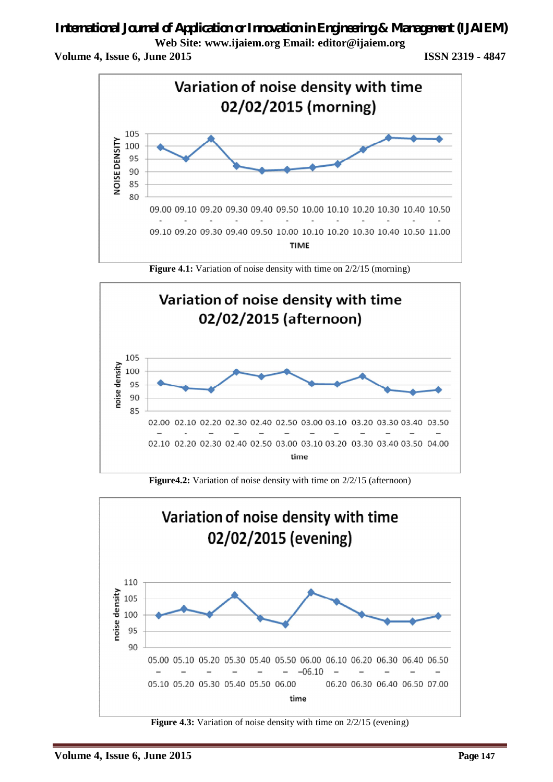# *International Journal of Application or Innovation in Engineering & Management (IJAIEM)*

**Web Site: www.ijaiem.org Email: editor@ijaiem.org**

**Volume 4, Issue 6, June 2015 ISSN 2319 - 4847**



**Figure 4.1:** Variation of noise density with time on  $2/2/15$  (morning)



**Figure4.2:** Variation of noise density with time on  $2/2/15$  (afternoon)



**Figure 4.3:** Variation of noise density with time on  $2/2/15$  (evening)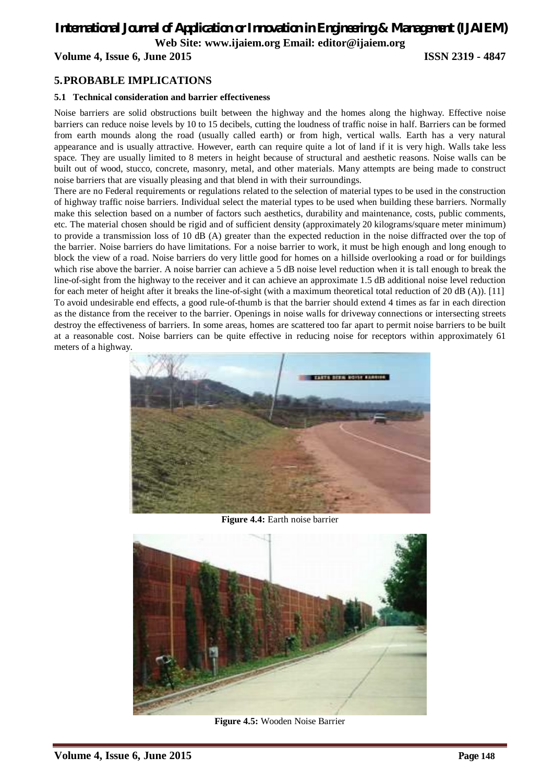**Volume 4, Issue 6, June 2015 ISSN 2319 - 4847**

### **5.PROBABLE IMPLICATIONS**

### **5.1 Technical consideration and barrier effectiveness**

Noise barriers are solid obstructions built between the highway and the homes along the highway. Effective noise barriers can reduce noise levels by 10 to 15 decibels, cutting the loudness of traffic noise in half. Barriers can be formed from earth mounds along the road (usually called earth) or from high, vertical walls. Earth has a very natural appearance and is usually attractive. However, earth can require quite a lot of land if it is very high. Walls take less space. They are usually limited to 8 meters in height because of structural and aesthetic reasons. Noise walls can be built out of wood, stucco, concrete, masonry, metal, and other materials. Many attempts are being made to construct noise barriers that are visually pleasing and that blend in with their surroundings.

There are no Federal requirements or regulations related to the selection of material types to be used in the construction of highway traffic noise barriers. Individual select the material types to be used when building these barriers. Normally make this selection based on a number of factors such aesthetics, durability and maintenance, costs, public comments, etc. The material chosen should be rigid and of sufficient density (approximately 20 kilograms/square meter minimum) to provide a transmission loss of 10 dB (A) greater than the expected reduction in the noise diffracted over the top of the barrier. Noise barriers do have limitations. For a noise barrier to work, it must be high enough and long enough to block the view of a road. Noise barriers do very little good for homes on a hillside overlooking a road or for buildings which rise above the barrier. A noise barrier can achieve a 5 dB noise level reduction when it is tall enough to break the line-of-sight from the highway to the receiver and it can achieve an approximate 1.5 dB additional noise level reduction for each meter of height after it breaks the line-of-sight (with a maximum theoretical total reduction of 20 dB (A)). [11] To avoid undesirable end effects, a good rule-of-thumb is that the barrier should extend 4 times as far in each direction as the distance from the receiver to the barrier. Openings in noise walls for driveway connections or intersecting streets destroy the effectiveness of barriers. In some areas, homes are scattered too far apart to permit noise barriers to be built at a reasonable cost. Noise barriers can be quite effective in reducing noise for receptors within approximately 61 meters of a highway.



**Figure 4.4:** Earth noise barrier



**Figure 4.5:** Wooden Noise Barrier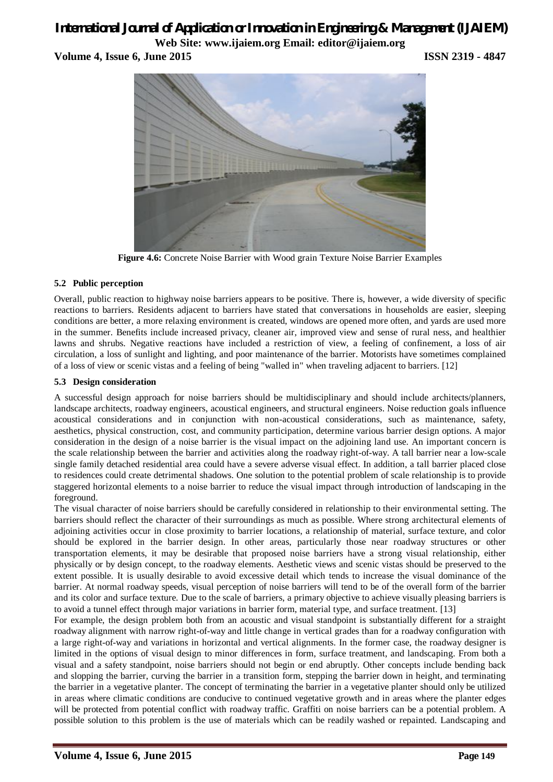**Volume 4, Issue 6, June 2015 ISSN 2319 - 4847**



**Figure 4.6:** Concrete Noise Barrier with Wood grain Texture Noise Barrier Examples

### **5.2 Public perception**

Overall, public reaction to highway noise barriers appears to be positive. There is, however, a wide diversity of specific reactions to barriers. Residents adjacent to barriers have stated that conversations in households are easier, sleeping conditions are better, a more relaxing environment is created, windows are opened more often, and yards are used more in the summer. Benefits include increased privacy, cleaner air, improved view and sense of rural ness, and healthier lawns and shrubs. Negative reactions have included a restriction of view, a feeling of confinement, a loss of air circulation, a loss of sunlight and lighting, and poor maintenance of the barrier. Motorists have sometimes complained of a loss of view or scenic vistas and a feeling of being "walled in" when traveling adjacent to barriers. [12]

### **5.3 Design consideration**

A successful design approach for noise barriers should be multidisciplinary and should include architects/planners, landscape architects, roadway engineers, acoustical engineers, and structural engineers. Noise reduction goals influence acoustical considerations and in conjunction with non-acoustical considerations, such as maintenance, safety, aesthetics, physical construction, cost, and community participation, determine various barrier design options. A major consideration in the design of a noise barrier is the visual impact on the adjoining land use. An important concern is the scale relationship between the barrier and activities along the roadway right-of-way. A tall barrier near a low-scale single family detached residential area could have a severe adverse visual effect. In addition, a tall barrier placed close to residences could create detrimental shadows. One solution to the potential problem of scale relationship is to provide staggered horizontal elements to a noise barrier to reduce the visual impact through introduction of landscaping in the foreground.

The visual character of noise barriers should be carefully considered in relationship to their environmental setting. The barriers should reflect the character of their surroundings as much as possible. Where strong architectural elements of adjoining activities occur in close proximity to barrier locations, a relationship of material, surface texture, and color should be explored in the barrier design. In other areas, particularly those near roadway structures or other transportation elements, it may be desirable that proposed noise barriers have a strong visual relationship, either physically or by design concept, to the roadway elements. Aesthetic views and scenic vistas should be preserved to the extent possible. It is usually desirable to avoid excessive detail which tends to increase the visual dominance of the barrier. At normal roadway speeds, visual perception of noise barriers will tend to be of the overall form of the barrier and its color and surface texture. Due to the scale of barriers, a primary objective to achieve visually pleasing barriers is to avoid a tunnel effect through major variations in barrier form, material type, and surface treatment. [13]

For example, the design problem both from an acoustic and visual standpoint is substantially different for a straight roadway alignment with narrow right-of-way and little change in vertical grades than for a roadway configuration with a large right-of-way and variations in horizontal and vertical alignments. In the former case, the roadway designer is limited in the options of visual design to minor differences in form, surface treatment, and landscaping. From both a visual and a safety standpoint, noise barriers should not begin or end abruptly. Other concepts include bending back and slopping the barrier, curving the barrier in a transition form, stepping the barrier down in height, and terminating the barrier in a vegetative planter. The concept of terminating the barrier in a vegetative planter should only be utilized in areas where climatic conditions are conducive to continued vegetative growth and in areas where the planter edges will be protected from potential conflict with roadway traffic. Graffiti on noise barriers can be a potential problem. A possible solution to this problem is the use of materials which can be readily washed or repainted. Landscaping and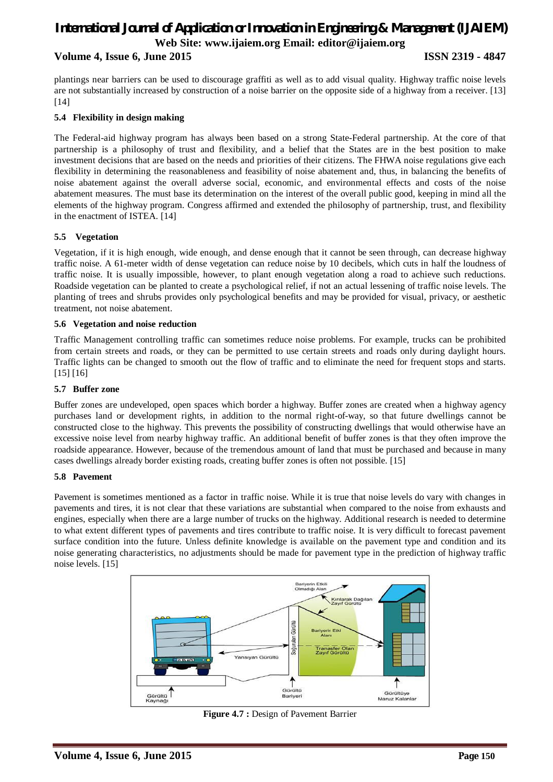### **Volume 4, Issue 6, June 2015 ISSN 2319 - 4847**

plantings near barriers can be used to discourage graffiti as well as to add visual quality. Highway traffic noise levels are not substantially increased by construction of a noise barrier on the opposite side of a highway from a receiver. [13] [14]

### **5.4 Flexibility in design making**

The Federal-aid highway program has always been based on a strong State-Federal partnership. At the core of that partnership is a philosophy of trust and flexibility, and a belief that the States are in the best position to make investment decisions that are based on the needs and priorities of their citizens. The FHWA noise regulations give each flexibility in determining the reasonableness and feasibility of noise abatement and, thus, in balancing the benefits of noise abatement against the overall adverse social, economic, and environmental effects and costs of the noise abatement measures. The must base its determination on the interest of the overall public good, keeping in mind all the elements of the highway program. Congress affirmed and extended the philosophy of partnership, trust, and flexibility in the enactment of ISTEA. [14]

### **5.5 Vegetation**

Vegetation, if it is high enough, wide enough, and dense enough that it cannot be seen through, can decrease highway traffic noise. A 61-meter width of dense vegetation can reduce noise by 10 decibels, which cuts in half the loudness of traffic noise. It is usually impossible, however, to plant enough vegetation along a road to achieve such reductions. Roadside vegetation can be planted to create a psychological relief, if not an actual lessening of traffic noise levels. The planting of trees and shrubs provides only psychological benefits and may be provided for visual, privacy, or aesthetic treatment, not noise abatement.

### **5.6 Vegetation and noise reduction**

Traffic Management controlling traffic can sometimes reduce noise problems. For example, trucks can be prohibited from certain streets and roads, or they can be permitted to use certain streets and roads only during daylight hours. Traffic lights can be changed to smooth out the flow of traffic and to eliminate the need for frequent stops and starts. [15] [16]

#### **5.7 Buffer zone**

Buffer zones are undeveloped, open spaces which border a highway. Buffer zones are created when a highway agency purchases land or development rights, in addition to the normal right-of-way, so that future dwellings cannot be constructed close to the highway. This prevents the possibility of constructing dwellings that would otherwise have an excessive noise level from nearby highway traffic. An additional benefit of buffer zones is that they often improve the roadside appearance. However, because of the tremendous amount of land that must be purchased and because in many cases dwellings already border existing roads, creating buffer zones is often not possible. [15]

#### **5.8 Pavement**

Pavement is sometimes mentioned as a factor in traffic noise. While it is true that noise levels do vary with changes in pavements and tires, it is not clear that these variations are substantial when compared to the noise from exhausts and engines, especially when there are a large number of trucks on the highway. Additional research is needed to determine to what extent different types of pavements and tires contribute to traffic noise. It is very difficult to forecast pavement surface condition into the future. Unless definite knowledge is available on the pavement type and condition and its noise generating characteristics, no adjustments should be made for pavement type in the prediction of highway traffic noise levels. [15]



**Figure 4.7 :** Design of Pavement Barrier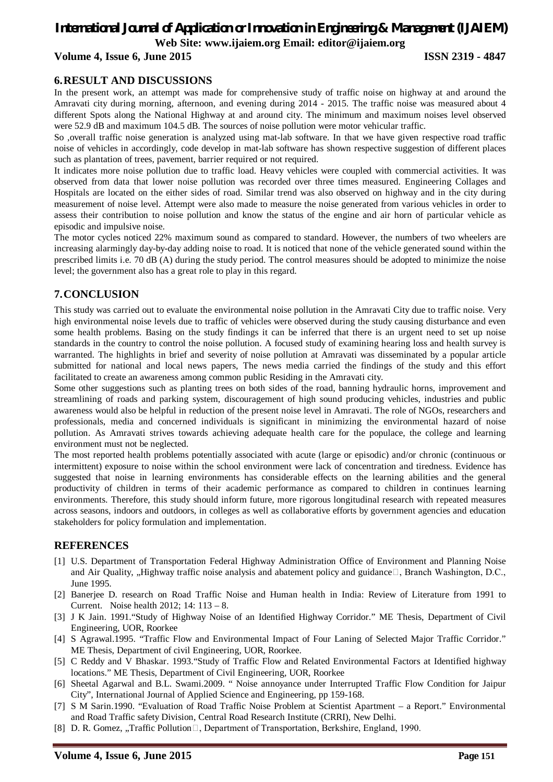### **Volume 4, Issue 6, June 2015 ISSN 2319 - 4847**

### **6.RESULT AND DISCUSSIONS**

In the present work, an attempt was made for comprehensive study of traffic noise on highway at and around the Amravati city during morning, afternoon, and evening during 2014 - 2015. The traffic noise was measured about 4 different Spots along the National Highway at and around city. The minimum and maximum noises level observed were 52.9 dB and maximum 104.5 dB. The sources of noise pollution were motor vehicular traffic.

So ,overall traffic noise generation is analyzed using mat-lab software. In that we have given respective road traffic noise of vehicles in accordingly, code develop in mat-lab software has shown respective suggestion of different places such as plantation of trees, pavement, barrier required or not required.

It indicates more noise pollution due to traffic load. Heavy vehicles were coupled with commercial activities. It was observed from data that lower noise pollution was recorded over three times measured. Engineering Collages and Hospitals are located on the either sides of road. Similar trend was also observed on highway and in the city during measurement of noise level. Attempt were also made to measure the noise generated from various vehicles in order to assess their contribution to noise pollution and know the status of the engine and air horn of particular vehicle as episodic and impulsive noise.

The motor cycles noticed 22% maximum sound as compared to standard. However, the numbers of two wheelers are increasing alarmingly day-by-day adding noise to road. It is noticed that none of the vehicle generated sound within the prescribed limits i.e. 70 dB (A) during the study period. The control measures should be adopted to minimize the noise level; the government also has a great role to play in this regard.

### **7.CONCLUSION**

This study was carried out to evaluate the environmental noise pollution in the Amravati City due to traffic noise. Very high environmental noise levels due to traffic of vehicles were observed during the study causing disturbance and even some health problems. Basing on the study findings it can be inferred that there is an urgent need to set up noise standards in the country to control the noise pollution. A focused study of examining hearing loss and health survey is warranted. The highlights in brief and severity of noise pollution at Amravati was disseminated by a popular article submitted for national and local news papers, The news media carried the findings of the study and this effort facilitated to create an awareness among common public Residing in the Amravati city.

Some other suggestions such as planting trees on both sides of the road, banning hydraulic horns, improvement and streamlining of roads and parking system, discouragement of high sound producing vehicles, industries and public awareness would also be helpful in reduction of the present noise level in Amravati. The role of NGOs, researchers and professionals, media and concerned individuals is significant in minimizing the environmental hazard of noise pollution. As Amravati strives towards achieving adequate health care for the populace, the college and learning environment must not be neglected.

The most reported health problems potentially associated with acute (large or episodic) and/or chronic (continuous or intermittent) exposure to noise within the school environment were lack of concentration and tiredness. Evidence has suggested that noise in learning environments has considerable effects on the learning abilities and the general productivity of children in terms of their academic performance as compared to children in continues learning environments. Therefore, this study should inform future, more rigorous longitudinal research with repeated measures across seasons, indoors and outdoors, in colleges as well as collaborative efforts by government agencies and education stakeholders for policy formulation and implementation.

### **REFERENCES**

- [1] U.S. Department of Transportation Federal Highway Administration Office of Environment and Planning Noise and Air Quality, "Highway traffic noise analysis and abatement policy and guidance $\Box$ , Branch Washington, D.C., June 1995.
- [2] Banerjee D. research on Road Traffic Noise and Human health in India: Review of Literature from 1991 to Current. Noise health 2012; 14: 113 – 8.
- [3] J K Jain. 1991."Study of Highway Noise of an Identified Highway Corridor." ME Thesis, Department of Civil Engineering, UOR, Roorkee
- [4] S Agrawal.1995. "Traffic Flow and Environmental Impact of Four Laning of Selected Major Traffic Corridor." ME Thesis, Department of civil Engineering, UOR, Roorkee.
- [5] C Reddy and V Bhaskar. 1993."Study of Traffic Flow and Related Environmental Factors at Identified highway locations." ME Thesis, Department of Civil Engineering, UOR, Roorkee
- [6] Sheetal Agarwal and B.L. Swami.2009. " Noise annoyance under Interrupted Traffic Flow Condition for Jaipur City", International Journal of Applied Science and Engineering, pp 159-168.
- [7] S M Sarin.1990. "Evaluation of Road Traffic Noise Problem at Scientist Apartment a Report." Environmental and Road Traffic safety Division, Central Road Research Institute (CRRI), New Delhi.
- [8] D. R. Gomez, "Traffic Pollution $\Box$ , Department of Transportation, Berkshire, England, 1990.